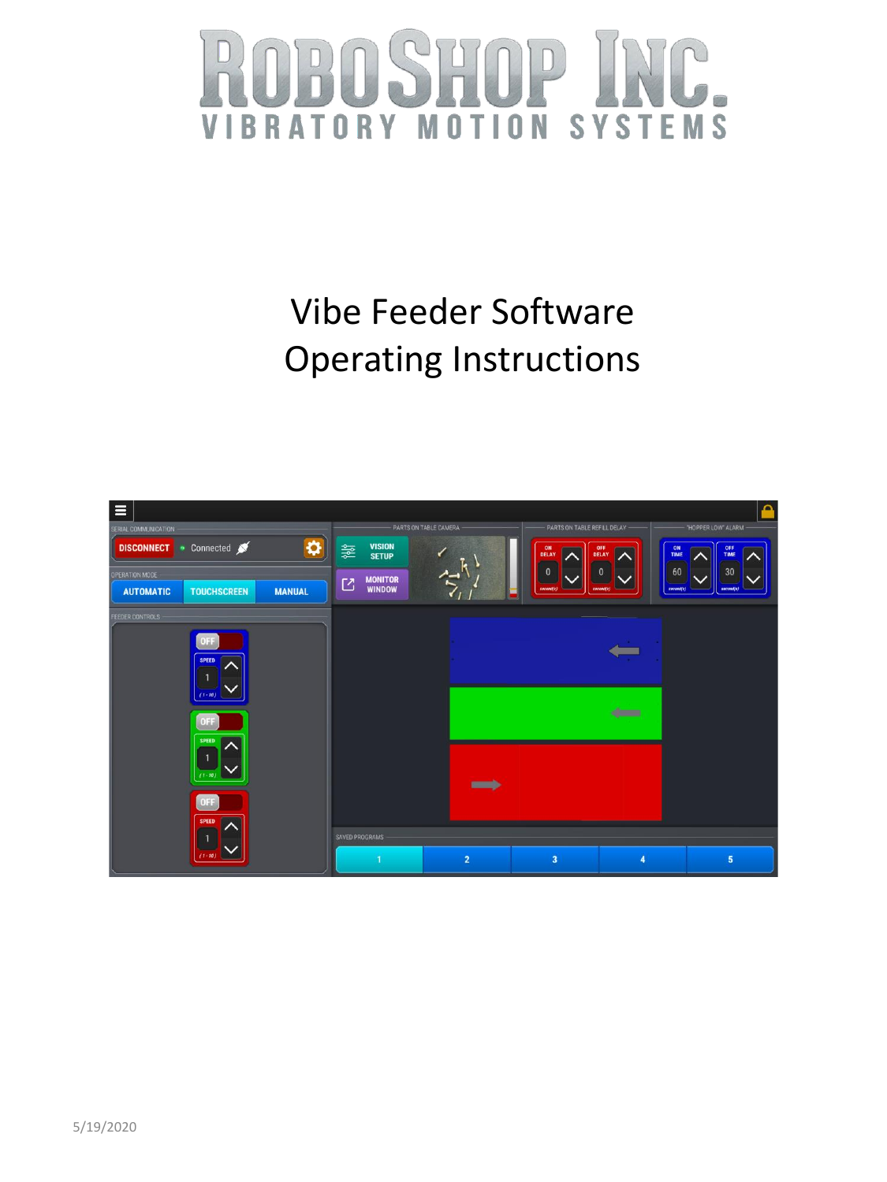### **SYSTEMS** OTION **RATORY** M V B

## Vibe Feeder Software Operating Instructions

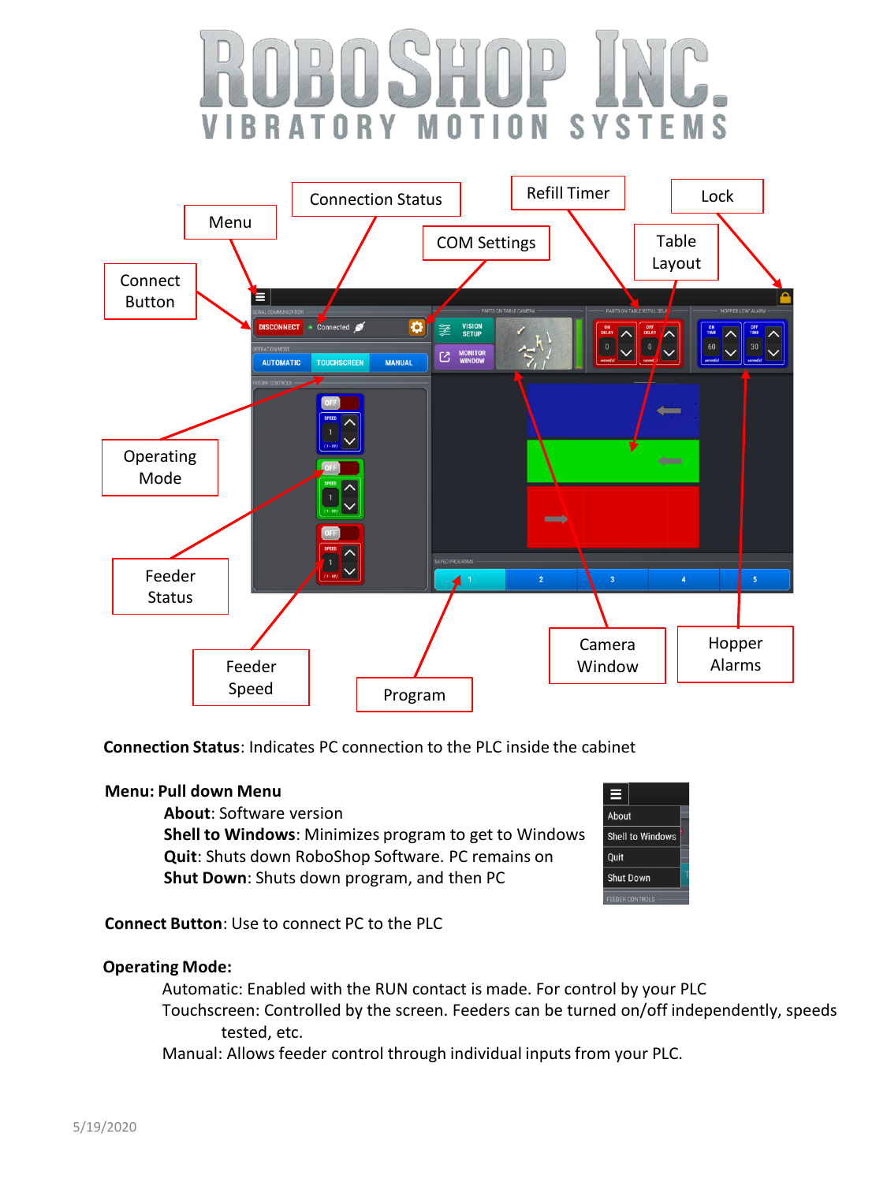#### $10N$ R  $\Delta$ TORY S. Y  $\mathcal{S}_{\mathbf{a}}$ FMS  $\mathbf{0}$ M T -1



**Connection Status**: Indicates PC connection to the PLC inside the cabinet

### **Menu: Pull down Menu**

**About**: Software version

**Shell to Windows**: Minimizes program to get to Windows **Quit**: Shuts down RoboShop Software. PC remains on **Shut Down**: Shuts down program, and then PC



**Connect Button**: Use to connect PC to the PLC

### **Operating Mode:**

Automatic: Enabled with the RUN contact is made. For control by your PLC Touchscreen: Controlled by the screen. Feeders can be turned on/off independently, speeds tested, etc.

Manual: Allows feeder control through individual inputs from your PLC.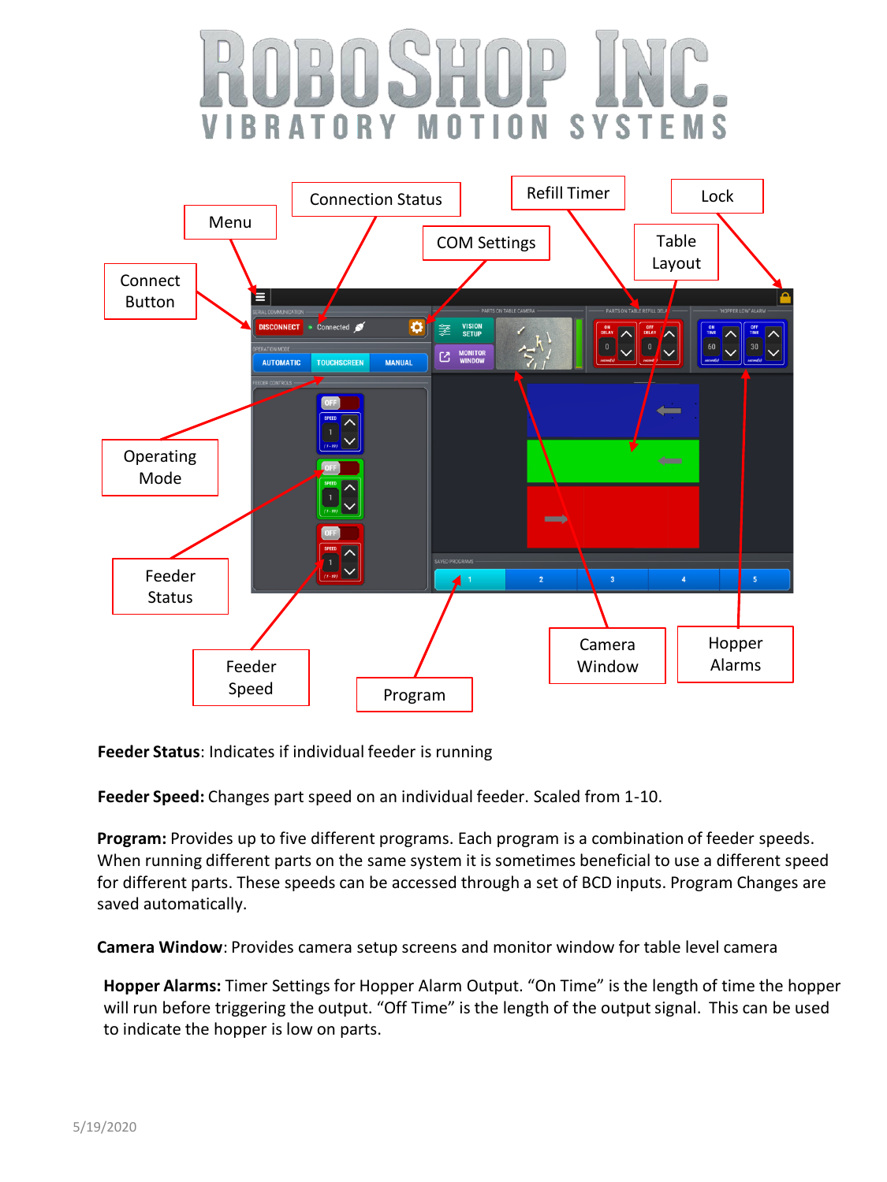#### 0 N 0 R S Y  $\mathcal{S}_{\mathcal{L}}$ Y IT



**Feeder Status**: Indicates if individual feeder is running

**Feeder Speed:** Changes part speed on an individual feeder. Scaled from 1-10.

**Program:** Provides up to five different programs. Each program is a combination of feeder speeds. When running different parts on the same system it is sometimes beneficial to use a different speed for different parts. These speeds can be accessed through a set of BCD inputs. Program Changes are saved automatically.

**Camera Window**: Provides camera setup screens and monitor window for table level camera

**Hopper Alarms:** Timer Settings for Hopper Alarm Output. "On Time" is the length of time the hopper will run before triggering the output. "Off Time" is the length of the output signal. This can be used to indicate the hopper is low on parts.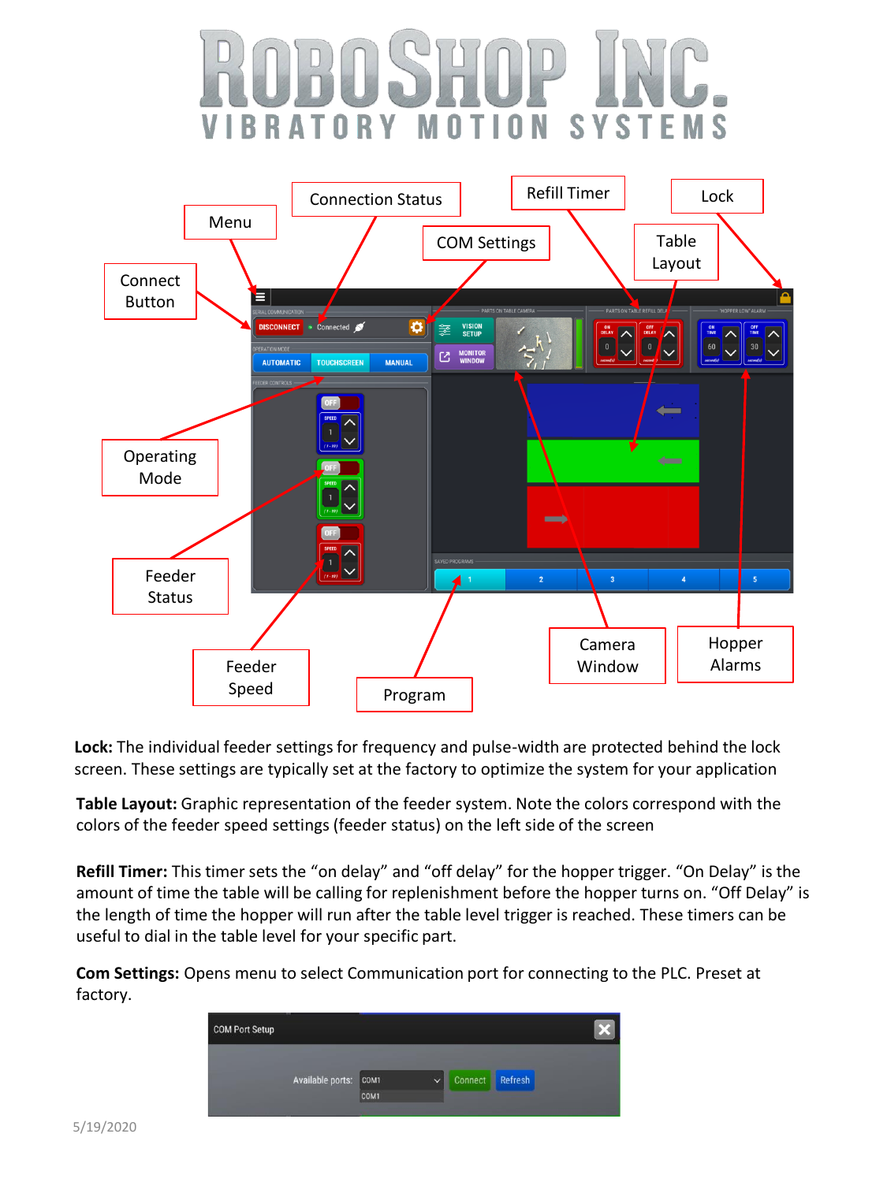#### ORY T 0 N S Y S.  $\mathbf{0}$ Ĩ R



**Lock:** The individual feeder settings for frequency and pulse-width are protected behind the lock screen. These settings are typically set at the factory to optimize the system for your application

**Table Layout:** Graphic representation of the feeder system. Note the colors correspond with the colors of the feeder speed settings (feeder status) on the left side of the screen

**Refill Timer:** This timer sets the "on delay" and "off delay" for the hopper trigger. "On Delay" is the amount of time the table will be calling for replenishment before the hopper turns on. "Off Delay" is the length of time the hopper will run after the table level trigger is reached. These timers can be useful to dial in the table level for your specific part.

**Com Settings:** Opens menu to select Communication port for connecting to the PLC. Preset at factory.

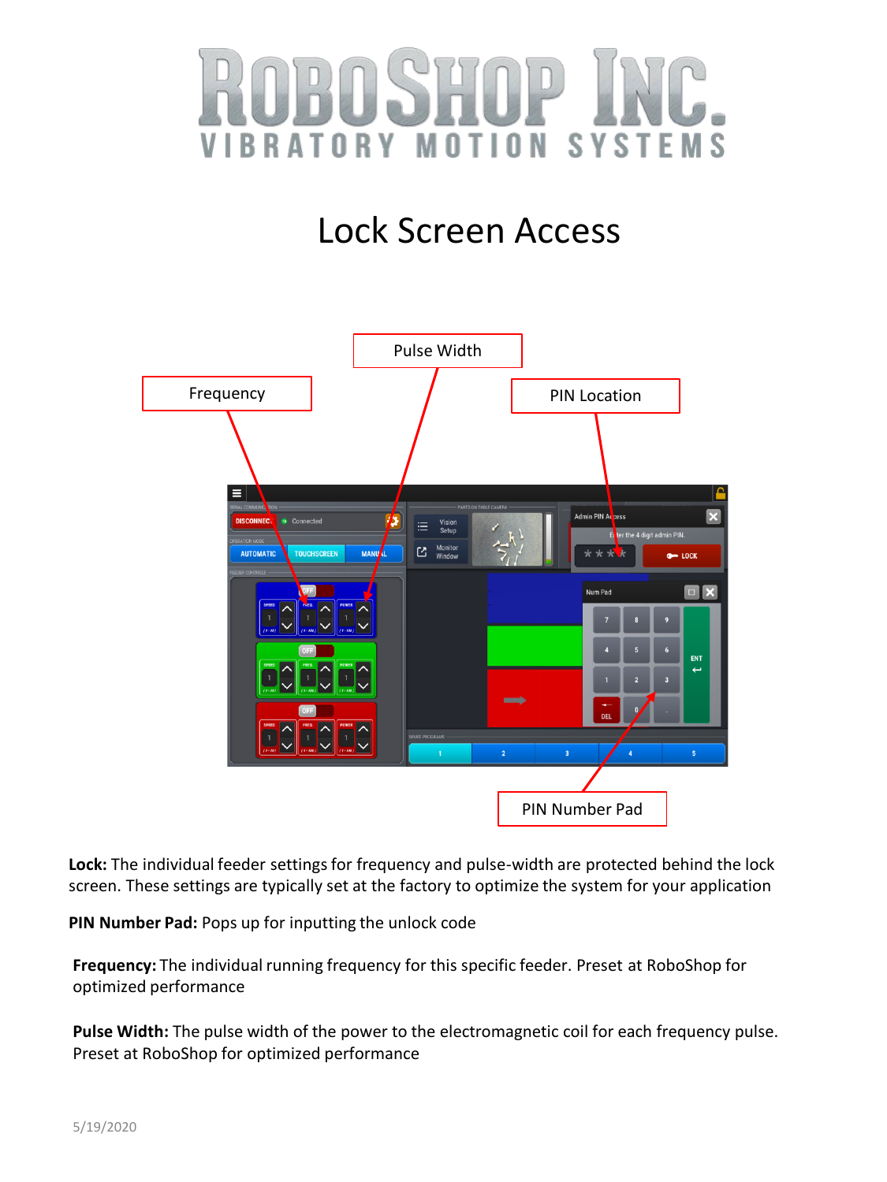

## Lock Screen Access



**Lock:** The individual feeder settings for frequency and pulse-width are protected behind the lock screen. These settings are typically set at the factory to optimize the system for your application

**PIN Number Pad:** Pops up for inputting the unlock code

**Frequency:** The individual running frequency for this specific feeder. Preset at RoboShop for optimized performance

**Pulse Width:** The pulse width of the power to the electromagnetic coil for each frequency pulse. Preset at RoboShop for optimized performance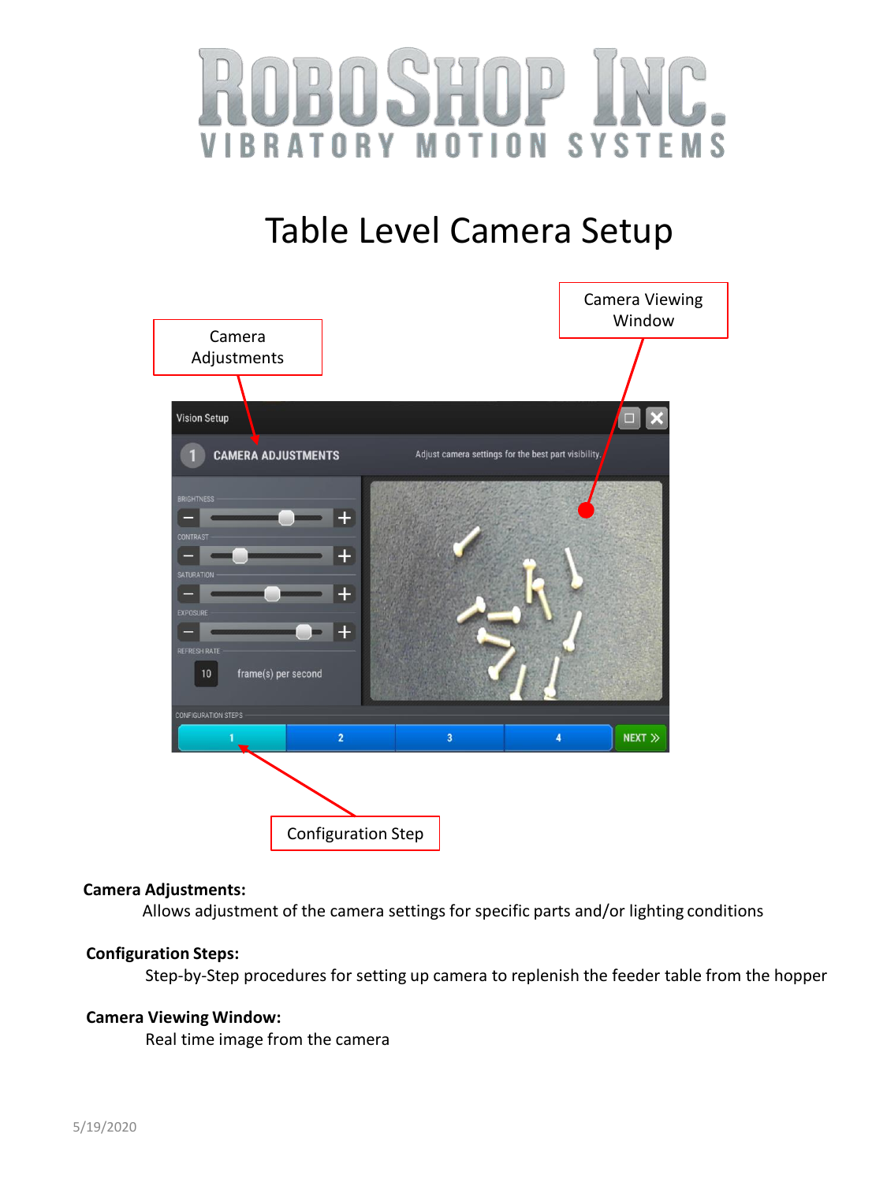



### **Camera Adjustments:**

Allows adjustment of the camera settings for specific parts and/or lighting conditions

#### **Configuration Steps:**

Step-by-Step procedures for setting up camera to replenish the feeder table from the hopper

### **Camera Viewing Window:**

Real time image from the camera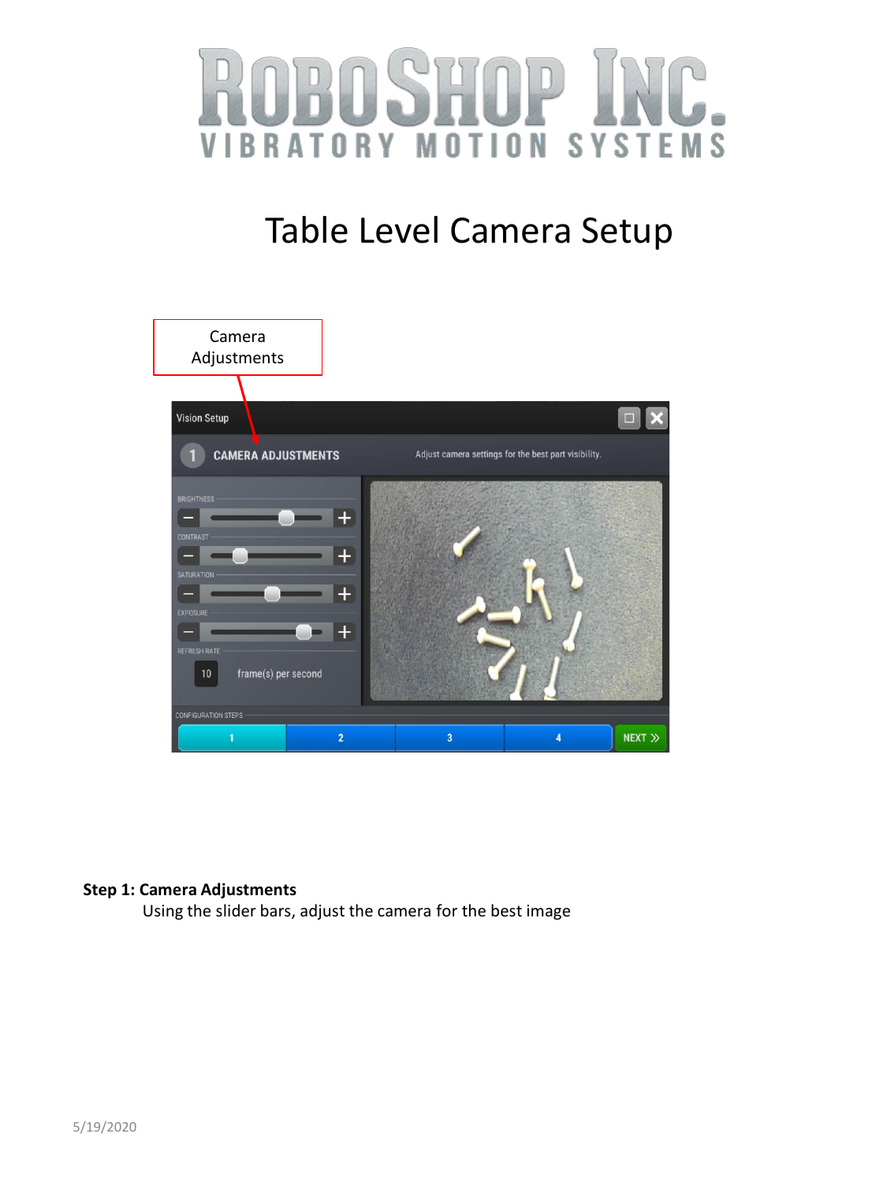



### **Step 1: Camera Adjustments**

Using the slider bars, adjust the camera for the best image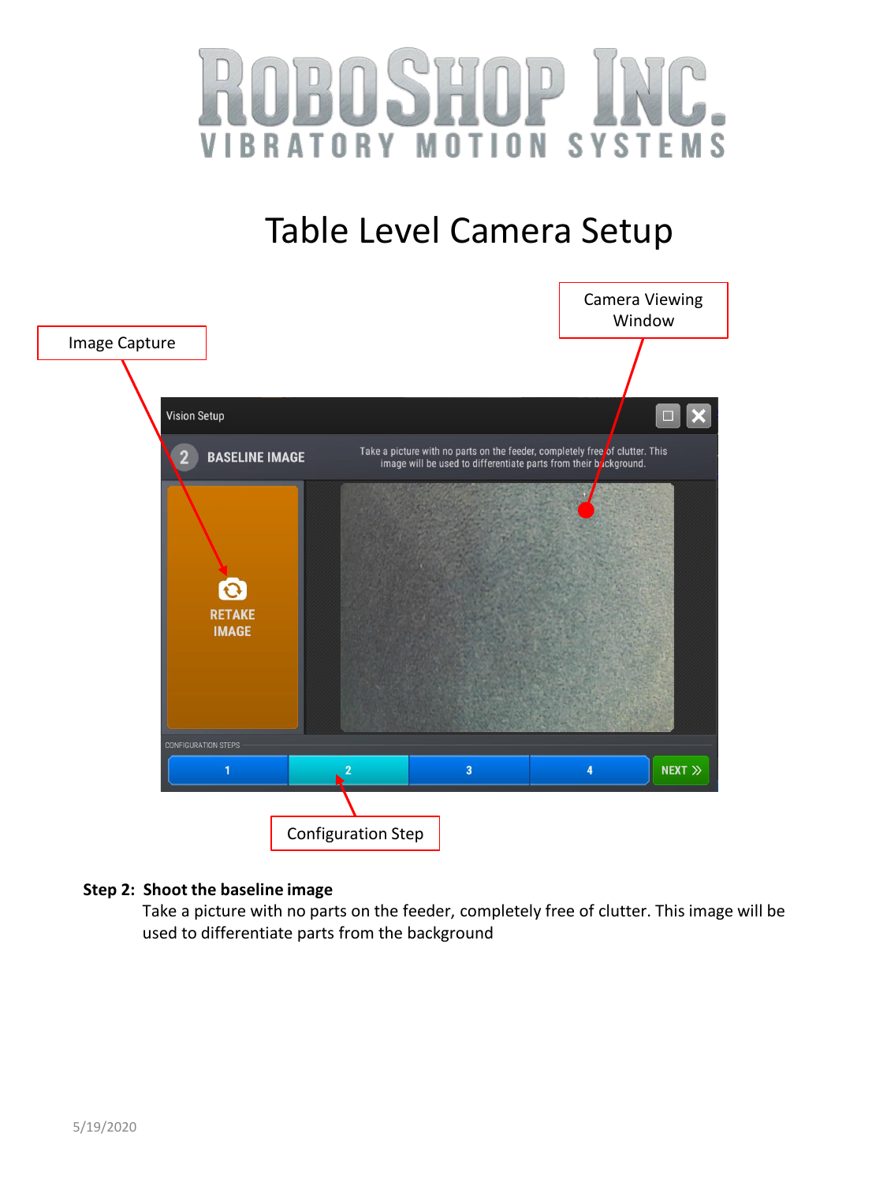



### **Step 2: Shoot the baseline image**

Take a picture with no parts on the feeder, completely free of clutter. This image will be used to differentiate parts from the background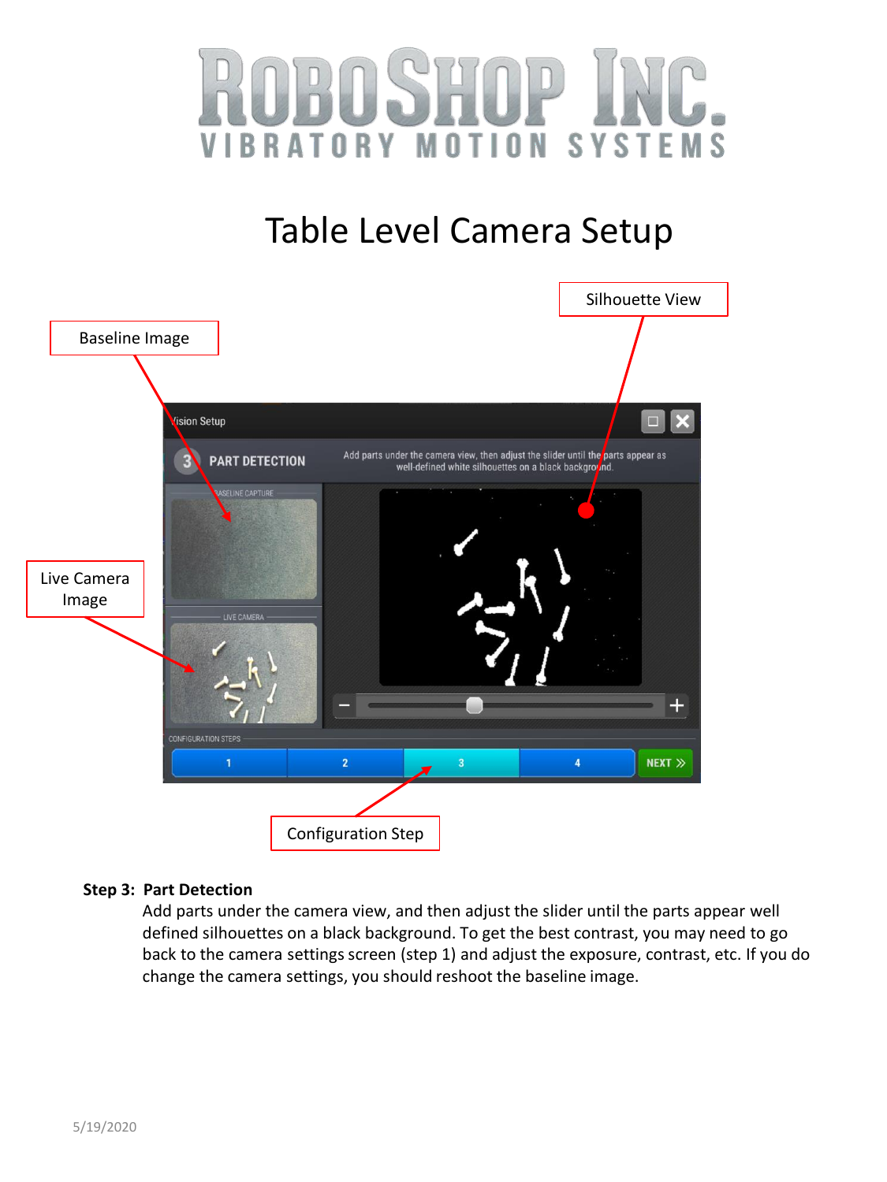



### **Step 3: Part Detection**

Add parts under the camera view, and then adjust the slider until the parts appear well defined silhouettes on a black background. To get the best contrast, you may need to go back to the camera settings screen (step 1) and adjust the exposure, contrast, etc. If you do change the camera settings, you should reshoot the baseline image.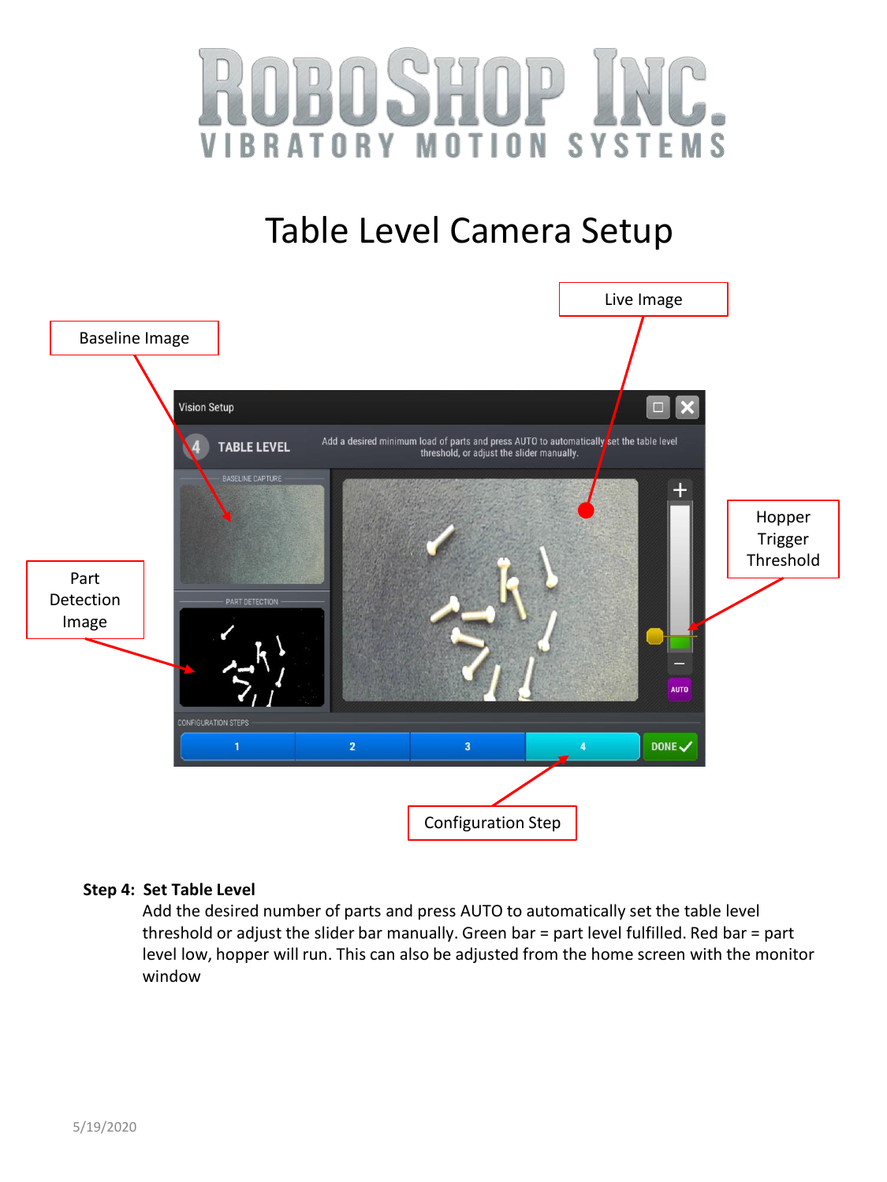



### **Step 4: Set Table Level**

Add the desired number of parts and press AUTO to automatically set the table level threshold or adjust the slider bar manually. Green bar = part level fulfilled. Red bar = part level low, hopper will run. This can also be adjusted from the home screen with the monitor window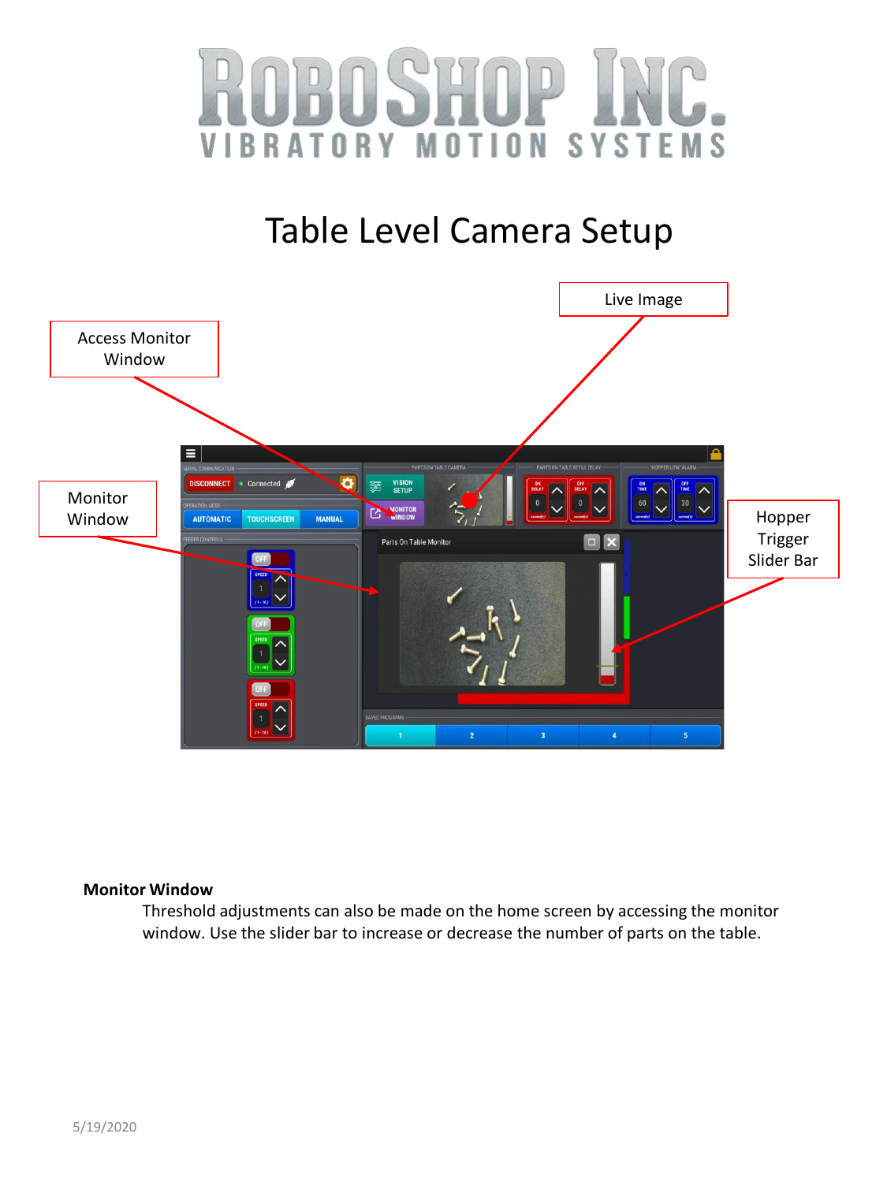



#### **Monitor Window**

Threshold adjustments can also be made on the home screen by accessing the monitor window. Use the slider bar to increase or decrease the number of parts on the table.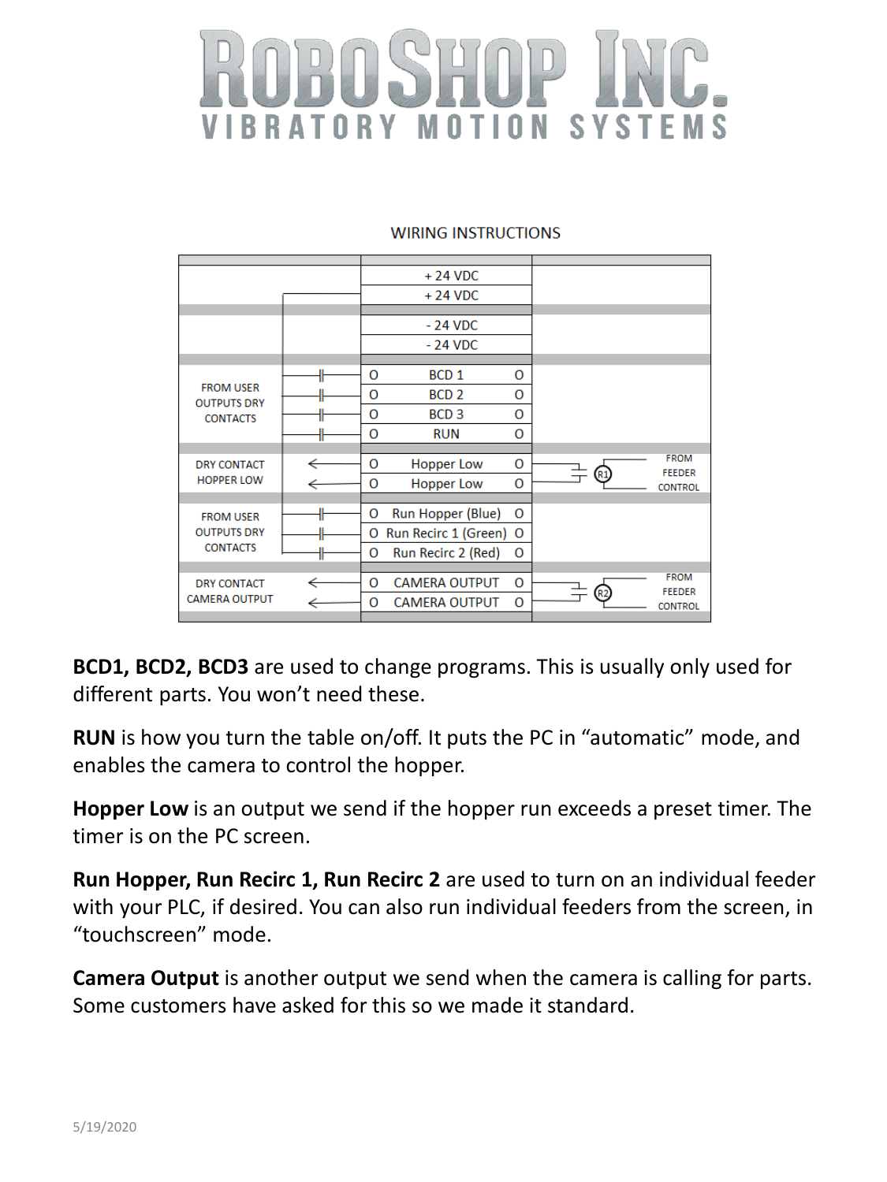# **BRATORY MOTION SYSTEMS**

### **WIRING INSTRUCTIONS**

|                                                           |   | $+24$ VDC |                        |         |                              |
|-----------------------------------------------------------|---|-----------|------------------------|---------|------------------------------|
|                                                           |   |           | $+24$ VDC              |         |                              |
|                                                           |   |           |                        |         |                              |
|                                                           |   | $-24$ VDC |                        |         |                              |
|                                                           |   |           | $-24$ VDC              |         |                              |
|                                                           |   |           |                        |         |                              |
| <b>FROM USER</b><br><b>OUTPUTS DRY</b><br><b>CONTACTS</b> |   | O         | BCD <sub>1</sub>       | O       |                              |
|                                                           |   | O         | BCD <sub>2</sub>       | 0       |                              |
|                                                           |   | O         | BCD <sub>3</sub>       | 0       |                              |
|                                                           |   | $\Omega$  | <b>RUN</b>             | O       |                              |
|                                                           |   |           |                        |         |                              |
| <b>DRY CONTACT</b><br><b>HOPPER LOW</b>                   |   | 0         | <b>Hopper Low</b>      | 0       | <b>FROM</b><br><b>FEEDER</b> |
|                                                           |   | O         | <b>Hopper Low</b>      | 0       | <b>CONTROL</b>               |
|                                                           |   |           |                        |         |                              |
| <b>FROM USER</b><br><b>OUTPUTS DRY</b><br><b>CONTACTS</b> | ⊪ | O         | Run Hopper (Blue)      | 0       |                              |
|                                                           |   | 0         | Run Recirc 1 (Green) O |         |                              |
|                                                           |   | 0         | Run Recirc 2 (Red)     | 0       |                              |
|                                                           |   |           |                        |         |                              |
| <b>DRY CONTACT</b>                                        |   | 0         | <b>CAMERA OUTPUT</b>   | $\circ$ | <b>FROM</b><br><b>FEEDER</b> |
| <b>CAMERA OUTPUT</b>                                      |   | O         | <b>CAMERA OUTPUT</b>   | 0       | <b>CONTROL</b>               |
|                                                           |   |           |                        |         |                              |

**BCD1, BCD2, BCD3** are used to change programs. This is usually only used for different parts. You won't need these.

**RUN** is how you turn the table on/off. It puts the PC in "automatic" mode, and enables the camera to control the hopper.

**Hopper Low** is an output we send if the hopper run exceeds a preset timer. The timer is on the PC screen.

**Run Hopper, Run Recirc 1, Run Recirc 2** are used to turn on an individual feeder with your PLC, if desired. You can also run individual feeders from the screen, in "touchscreen" mode.

**Camera Output** is another output we send when the camera is calling for parts. Some customers have asked for this so we made it standard.